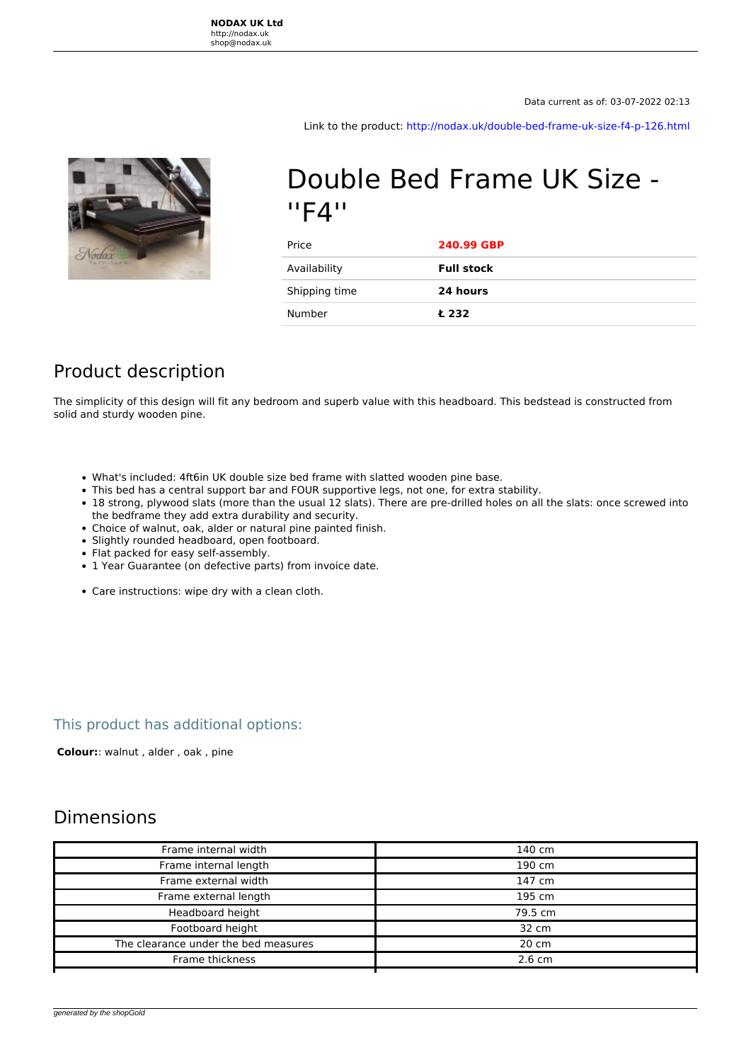Link to the product:<http://nodax.uk/double-bed-frame-uk-size-f4-p-126.html>



# Double Bed Frame UK Size - ''F4''

| Price         | 240.99 GBP        |
|---------------|-------------------|
| Availability  | <b>Full stock</b> |
| Shipping time | 24 hours          |
| Number        | Ł 232             |

### Product description

The simplicity of this design will fit any bedroom and superb value with this headboard. This bedstead is constructed from solid and sturdy wooden pine.

- What's included: 4ft6in UK double size bed frame with slatted wooden pine base.
- This bed has a central support bar and FOUR supportive legs, not one, for extra stability.
- 18 strong, plywood slats (more than the usual 12 slats). There are pre-drilled holes on all the slats: once screwed into the bedframe they add extra durability and security.
- Choice of walnut, oak, alder or natural pine painted finish.
- Slightly rounded headboard, open footboard.
- Flat packed for easy self-assembly.
- 1 Year Guarantee (on defective parts) from invoice date.
- Care instructions: wipe dry with a clean cloth.

#### This product has additional options:

 **Colour:**: walnut , alder , oak , pine

### Dimensions

| Frame internal width                 | 140 cm           |
|--------------------------------------|------------------|
| Frame internal length                | 190 cm           |
| Frame external width                 | 147 cm           |
| Frame external length                | 195 cm           |
| Headboard height                     | 79.5 cm          |
| Footboard height                     | 32 cm            |
| The clearance under the bed measures | 20 cm            |
| Frame thickness                      | $2.6 \text{ cm}$ |
|                                      |                  |